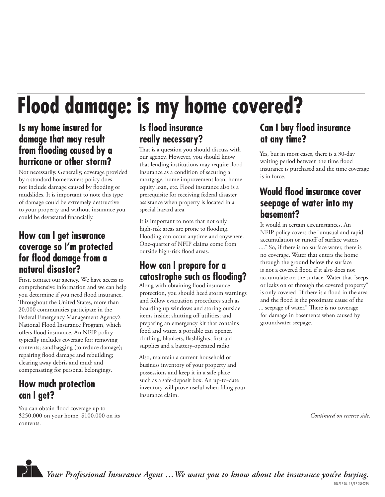# **Flood damage: is my home covered?**

#### **Is my home insured for damage that may result**  from flooding caused by a **hurricane or other storm?**

Not necessarily. Generally, coverage provided by a standard homeowners policy does not include damage caused by flooding or mudslides. It is important to note this type of damage could be extremely destructive to your property and without insurance you could be devastated financially.

#### **How can I get insurance coverage so I'm protected for fl ood damage from a natural disaster?**

First, contact our agency. We have access to comprehensive information and we can help you determine if you need flood insurance. Throughout the United States, more than 20,000 communities participate in the Federal Emergency Management Agency's National Flood Insurance Program, which offers flood insurance. An NFIP policy typically includes coverage for: removing contents; sand bagging (to reduce damage); repairing flood damage and rebuilding; clearing away debris and mud; and compensating for personal belongings.

## **How much protection can I get?**

You can obtain flood coverage up to \$250,000 on your home, \$100,000 on its contents.

## **Is fl ood insurance really necessary?**

That is a question you should discuss with our agency. However, you should know that lending institutions may require flood insurance as a condition of securing a mortgage, home improvement loan, home equity loan, etc. Flood insurance also is a prerequisite for receiving federal disaster assistance when property is located in a special hazard area.

It is important to note that not only high-risk areas are prone to flooding. Flooding can occur anytime and anywhere. One-quarter of NFIP claims come from outside high-risk flood areas.

## **How can I prepare for a**  catastrophe such as flooding?

Along with obtaining flood insurance protection, you should heed storm warnings and follow evacuation procedures such as boarding up windows and storing outside items inside; shutting off utilities; and preparing an emergency kit that contains food and water, a portable can opener, clothing, blankets, flashlights, first-aid supplies and a battery-operated radio.

Also, maintain a current household or business inventory of your property and possessions and keep it in a safe place such as a safe-deposit box. An up-to-date inventory will prove useful when filing your insurance claim.

### **Can I buy flood insurance at any time?**

Yes, but in most cases, there is a 30-day waiting period between the time flood insurance is purchased and the time coverage is in force.

### **Would flood insurance cover seepage of water into my basement?**

It would in certain circumstances. An NFIP policy covers the "unusual and rapid accumulation or runoff of surface waters

...." So, if there is no surface water, there is no coverage. Water that enters the home through the ground below the surface is not a covered flood if it also does not accumulate on the surface. Water that "seeps or leaks on or through the covered property" is only covered "if there is a flood in the area and the flood is the proximate cause of the ... seepage of water." There is no coverage for damage in basements when caused by groundwater seepage.

*Continued on reverse side.*